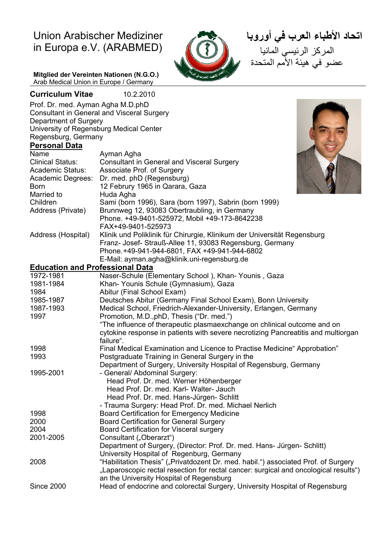# Union Arabischer Mediziner in Europa e.V. (ARABMED)



 **اتحاد الأطباء العرب في أوروبا** المركز الرئيسي المانيا عضو في هيئة الأمم المتحدة

**Mitglied der Vereinten Nationen (N.G.O.)**  Arab Medical Union in Europe / Germany

**Curriculum Vitae** 10.2.2010 Prof. Dr. med. Ayman Agha M.D.phD Consultant in General and Visceral Surgery Department of Surgery University of Regensburg Medical Center Regensburg, Germany **Personal Data** Name Ayman Agha Clinical Status: Consultant in General and Visceral Surgery Academic Status: Associate Prof. of Surgery Academic Degrees: Dr. med. phD (Regensburg) Born 12 Februry 1965 in Qarara, Gaza Married to **Huda Agha**<br>Children **Sami** (born Children Sami (born 1996), Sara (born 1997), Sabrin (born 1999)<br>Address (Private) Brunnweg 12, 93083 Obertraubling, in Germany Brunnweg 12, 93083 Obertraubling, in Germany Phone. +49-9401-525972, Mobil +49-173-8642238 FAX+49-9401-525973 Address (Hospital) Klinik und Poliklinik für Chirurgie, Klinikum der Universität Regensburg Franz- Josef- Strauß-Allee 11, 93083 Regensburg, Germany Phone. +49-941-944-6801, FAX +49-941-944-6802 E-Mail: ayman.agha@klinik.uni-regensburg.de **Education and Professional Data** 1972-1981 Naser-Schule (Elementary School), Khan-Younis, Gaza<br>1981-1984 Khan-Younis Schule (Gymnasium), Gaza Khan- Younis Schule (Gymnasium), Gaza 1984 Abitur (Final School Exam) 1985-1987 Deutsches Abitur (Germany Final School Exam), Bonn University 1987-1993 Medical School, Friedrich-Alexander-University, Erlangen, Germany 1997 Promotion, M.D.,phD, Thesis ("Dr. med.") "The influence of therapeutic plasmaexchange on chlinical outcome and on cytokine response in patients with severe necrotizing Pancreatitis and multiorgan failure". 1998 Final Medical Examination and Licence to Practise Medicine" Approbation" 1993 Postgraduate Training in General Surgery in the Department of Surgery, University Hospital of Regensburg, Germany 1995-2001 - General/ Abdominal Surgery: Head Prof. Dr. med. Werner Höhenberger Head Prof. Dr. med. Karl- Walter- Jauch Head Prof. Dr. med. Hans-Jürgen- Schlitt - Trauma Surgery: Head Prof. Dr. med. Michael Nerlich 1998 Board Certification for Emergency Medicine 2000 Board Certification for General Surgery 2004 Board Certification for Visceral surgery 2001-2005 Consultant ("Oberarzt") Department of Surgery, (Director: Prof. Dr. med. Hans- Jürgen- Schlitt) University Hospital of Regenburg, Germany 2008 "Habilitation Thesis" ("Privatdozent Dr. med. habil.") associated Prof. of Surgery "Laparoscopic rectal resection for rectal cancer: surgical and oncological results") an the University Hospital of Regensburg Since 2000 Head of endocrine and colorectal Surgery, University Hospital of Regensburg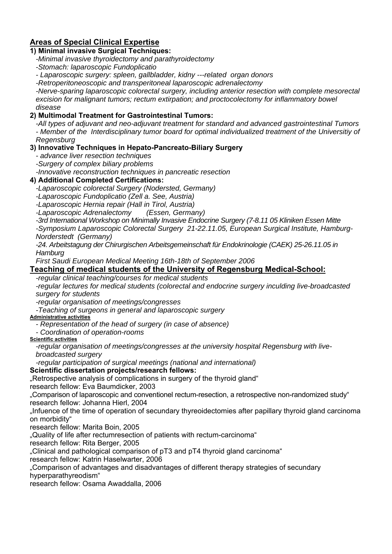# **Areas of Special Clinical Expertise**

#### **1) Minimal invasive Surgical Techniques:**

*-Minimal invasive thyroidectomy and parathyroidectomy* 

*-Stomach: laparoscopic Fundoplicatio* 

*- Laparoscopic surgery: spleen, gallbladder, kidny ---related organ donors* 

*-Retroperitoneoscopic and transperitoneal laparoscopic adrenalectomy* 

*-Nerve-sparing laparoscopic colorectal surgery, including anterior resection with complete mesorectal excision for malignant tumors; rectum extirpation; and proctocolectomy for inflammatory bowel disease* 

### **2) Multimodal Treatment for Gastrointestinal Tumors:**

*-All types of adjuvant and neo-adjuvant treatment for standard and advanced gastrointestinal Tumors - Member of the Interdisciplinary tumor board for optimal individualized treatment of the Universitiy of* 

*Regensburg* 

#### **3) Innovative Techniques in Hepato-Pancreato-Biliary Surgery**

*- advance liver resection techniques* 

*-Surgery of complex biliary problems* 

*-Innovative reconstruction techniques in pancreatic resection* 

#### **4) Additional Completed Certifications:**

*-Laparoscopic colorectal Surgery (Nodersted, Germany)* 

*-Laparoscopic Fundoplicatio (Zell a. See, Austria)* 

*-Laparoscopic Hernia repair (Hall in Tirol, Austria)* 

*-Laparoscopic Adrenalectomy (Essen, Germany)* 

*-3rd International Workshop on Minimally Invasive Endocrine Surgery (7-8.11 05 Kliniken Essen Mitte* 

*-Symposium Laparoscopic Colorectal Surgery 21-22.11.05, European Surgical Institute, Hamburg-Norderstedt (Germany)* 

*-24. Arbeitstagung der Chirurgischen Arbeitsgemeinschaft für Endokrinologie (CAEK) 25-26.11.05 in Hamburg* 

*First Saudi European Medical Meeting 16th-18th of September 2006* 

## **Teaching of medical students of the University of Regensburg Medical-School:**

*-regular clinical teaching/courses for medical students* 

*-regular lectures for medical students (colorectal and endocrine surgery inculding live-broadcasted surgery for students* 

*-regular organisation of meetings/congresses* 

*-Teaching of surgeons in general and laparoscopic surgery* 

#### **Administrative activities**

*- Representation of the head of surgery (in case of absence)* 

*- Coordination of operation-rooms* 

**Scientific activities**

*-regular organisation of meetings/congresses at the university hospital Regensburg with livebroadcasted surgery* 

*-regular participation of surgical meetings (national and international)* 

#### **Scientific dissertation projects/research fellows:**

"Retrospective analysis of complications in surgery of the thyroid gland"

research fellow: Eva Baumdicker, 2003

"Comparison of laparoscopic and conventionel rectum-resection, a retrospective non-randomized study" research fellow: Johanna Hierl, 2004

"Infuence of the time of operation of secundary thyreoidectomies after papillary thyroid gland carcinoma on morbidity"

research fellow: Marita Boin, 2005

"Quality of life after rectumresection of patients with rectum-carcinoma"

research fellow: Rita Berger, 2005

"Clinical and pathological comparison of pT3 and pT4 thyroid gland carcinoma"

research fellow: Katrin Haselwarter, 2006

"Comparison of advantages and disadvantages of different therapy strategies of secundary hyperparathyreodism"

research fellow: Osama Awaddalla, 2006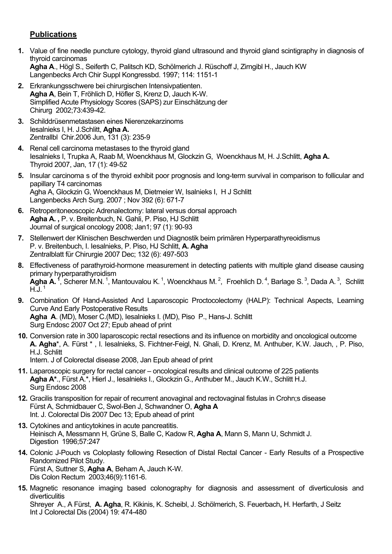# **Publications**

- **1.** Value of fine needle puncture cytology, thyroid gland ultrasound and thyroid gland scintigraphy in diagnosis of thyroid carcinomas **Agha A**., Högl S., Seiferth C, Palitsch KD, Schölmerich J. Rüschoff J, Zirngibl H., Jauch KW Langenbecks Arch Chir Suppl Kongressbd. 1997; 114: 1151-1
- **2.** Erkrankungsschwere bei chirurgischen Intensivpatienten. **Agha A**, Bein T, Fröhlich D, Höfler S, Krenz D, Jauch K-W. Simplified Acute Physiology Scores (SAPS) zur Einschätzung der Chirurg 2002;73:439-42.
- **3.** Schilddrüsenmetastasen eines Nierenzekarzinoms Iesalnieks I, H. J.Schlitt, **Agha A.**  Zentrallbl Chir.2006 Jun, 131 (3): 235-9
- **4.** Renal cell carcinoma metastases to the thyroid gland Iesalnieks I, Trupka A, Raab M, Woenckhaus M, Glockzin G, Woenckhaus M, H. J.Schlitt, **Agha A.**  Thyroid 2007, Jan, 17 (1): 49-52
- **5.** Insular carcinoma s of the thyroid exhibit poor prognosis and long-term survival in comparison to follicular and papillary T4 carcinomas Agha A, Glockzin G, Woenckhaus M, Dietmeier W, Isalnieks I, H J Schlitt Langenbecks Arch Surg. 2007 ; Nov 392 (6): 671-7
- **6.** Retroperitoneoscopic Adrenalectomy: lateral versus dorsal approach **Agha A. ,** P. v. Breitenbuch, N. Gahli, P. Piso, HJ Schlitt Journal of surgical oncology 2008; Jan1; 97 (1): 90-93
- **7.** Stellenwert der Klinischen Beschwerden und Diagnostik beim primären Hyperparathyreoidismus P. v. Breitenbuch, I. Iesalnieks, P. Piso, HJ Schlitt, **A. Agha**  Zentralblatt für Chirurgie 2007 Dec; 132 (6): 497-503
- **8.** Effectiveness of parathyroid-hormone measurement in detecting patients with multiple gland disease causing primary hyperparathyroidism Agha A. <sup>1</sup>, Scherer M.N.<sup>1</sup>, Mantouvalou K.<sup>1</sup>, Woenckhaus M.<sup>2</sup>, Froehlich D.<sup>4</sup>, Barlage S.<sup>3</sup>, Dada A.<sup>3</sup>, Schlitt  $H.\dot{J}$ .<sup>1</sup>
- **9.** Combination Of Hand-Assisted And Laparoscopic Proctocolectomy (HALP): Technical Aspects, Learning Curve And Early Postoperative Results **Agha A**. (MD), Moser C.(MD), Iesalnieks I. (MD), Piso P., Hans-J. Schlitt Surg Endosc 2007 Oct 27; Epub ahead of print
- **10.** Conversion rate in 300 laparoscopic rectal resections and its influence on morbidity and oncological outcome **A. Agha**\*, A. Fürst \* , I. Iesalnieks, S. Fichtner-Feigl, N. Ghali, D. Krenz, M. Anthuber, K.W. Jauch, , P. Piso, H.J. Schlitt

Intern. J of Colorectal disease 2008, Jan Epub ahead of print

- **11.** Laparoscopic surgery for rectal cancer oncological results and clinical outcome of 225 patients **Agha A\***., Fürst A.\*, Hierl J., Iesalnieks I., Glockzin G., Anthuber M., Jauch K.W., Schlitt H.J. Surg Endosc 2008
- **12.** Gracilis transposition for repair of recurrent anovaginal and rectovaginal fistulas in Crohn;s disease Fürst A, Schmidbauer C, Swol-Ben J, Schwandner O, **Agha A** Int. J. Colorectal Dis 2007 Dec 13; Epub ahead of print
- **13.** Cytokines and anticytokines in acute pancreatitis. Heinisch A, Messmann H, Grüne S, Balle C, Kadow R, **Agha A**, Mann S, Mann U, Schmidt J. Digestion 1996;57:247
- **14.** Colonic J-Pouch vs Coloplasty following Resection of Distal Rectal Cancer Early Results of a Prospective Randomized Pilot Study. Fürst A, Suttner S, **Agha A**, Beham A, Jauch K-W. Dis Colon Rectum 2003;46(9):1161-6.
- **15.** Magnetic resonance imaging based colonography for diagnosis and assessment of diverticulosis and diverticulitis Shreyer A., A Fürst, **A. Agha**, R. Kikinis, K. Scheibl, J. Schölmerich, S. Feuerbach**,** H. Herfarth, J Seitz Int J Colorectal Dis (2004) 19: 474-480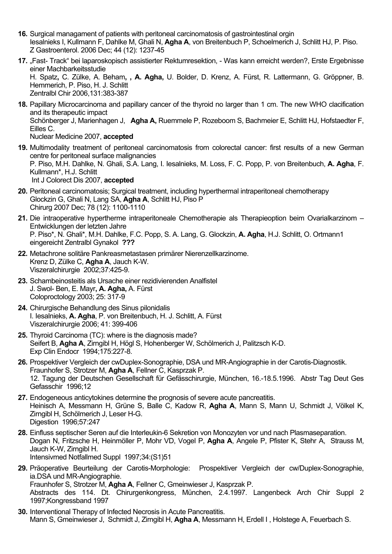- **16.** Surgical managament of patients with peritoneal carcinomatosis of gastrointestinal orgin Iesalnieks I, Kullmann F, Dahlke M, Ghali N, **Agha A**, von Breitenbuch P, Schoelmerich J, Schlitt HJ, P. Piso. Z Gastroenterol. 2006 Dec; 44 (12): 1237-45
- 17. "Fast- Track" bei laparoskopisch assistierter Rektumresektion, Was kann erreicht werden?, Erste Ergebnisse einer Machbarkeitsstudie H. Spatz**,** C. Zülke, A. Beham**, , A. Agha,** U. Bolder, D. Krenz, A. Fürst, R. Lattermann, G. Gröppner, B. Hemmerich, P. Piso, H. J. Schlitt Zentralbl Chir 2006,131:383-387
- **18.** Papillary Microcarcinoma and papillary cancer of the thyroid no larger than 1 cm. The new WHO clacification and its therapeutic impact Schönberger J, Marienhagen J, **Agha A,** Ruemmele P, Rozeboom S, Bachmeier E, Schlitt HJ, Hofstaedter F, Eilles C. Nuclear Medicine 2007, **accepted**
- **19.** Multimodality treatment of peritoneal carcinomatosis from colorectal cancer: first results of a new German centre for peritoneal surface malignancies P. Piso, M.H. Dahlke, N. Ghali, S.A. Lang, I. Iesalnieks, M. Loss, F. C. Popp, P. von Breitenbuch, **A. Agha**, F. Kullmann\*, H.J. Schlitt Int J Colorect Dis 2007, **accepted**
- **20.** Peritoneal carcinomatosis; Surgical treatment, including hyperthermal intraperitoneal chemotherapy Glockzin G, Ghali N, Lang SA, **Agha A**, Schlitt HJ, Piso P Chirurg 2007 Dec; 78 (12): 1100-1110
- **21.** Die intraoperative hypertherme intraperitoneale Chemotherapie als Therapieoption beim Ovarialkarzinom Entwicklungen der letzten Jahre P. Piso\*, N. Ghali\*, M.H. Dahlke, F.C. Popp, S. A. Lang, G. Glockzin, **A. Agha**, H.J. Schlitt, O. Ortmann1 eingereicht Zentralbl Gynakol **???**
- **22.** Metachrone solitäre Pankreasmetastasen primärer Nierenzellkarzinome. Krenz D, Zülke C, **Agha A**, Jauch K-W. Viszeralchirurgie 2002;37:425-9.
- **23.** Schambeinosteitis als Ursache einer rezidivierenden Analfistel J. Swol- Ben, E. Mayr**, A. Agha,** A. Fürst Coloproctology 2003; 25: 317-9
- **24.** Chirurgische Behandlung des Sinus pilonidalis I. Iesalnieks, **A. Agha**, P. von Breitenbuch, H. J. Schlitt, A. Fürst Viszeralchirurgie 2006; 41: 399-406
- **25.** Thyroid Carcinoma (TC): where is the diagnosis made? Seifert B, **Agha A**, Zirngibl H, Högl S, Hohenberger W, Schölmerich J, Palitzsch K-D. Exp Clin Endocr 1994;175:227-8.
- **26.** Prospektiver Vergleich der cwDuplex-Sonographie, DSA und MR-Angiographie in der Carotis-Diagnostik. Fraunhofer S, Strotzer M, **Agha A**, Fellner C, Kasprzak P. 12. Tagung der Deutschen Gesellschaft für Gefässchirurgie, München, 16.-18.5.1996. Abstr Tag Deut Ges Gefasschir 1996;12
- **27.** Endogeneous anticytokines determine the prognosis of severe acute pancreatitis. Heinisch A, Messmann H, Grüne S, Balle C, Kadow R, **Agha A**, Mann S, Mann U, Schmidt J, Völkel K, Zirngibl H, Schölmerich J, Leser H-G. Digestion 1996;57:247
- **28.** Einfluss septischer Seren auf die Interleukin-6 Sekretion von Monozyten vor und nach Plasmaseparation. Dogan N, Fritzsche H, Heinmöller P, Mohr VD, Vogel P, **Agha A**, Angele P, Pfister K, Stehr A, Strauss M, Jauch K-W, Zirngibl H. Intensivmed Notfallmed Suppl 1997;34:(S1)51
- **29.** Präoperative Beurteilung der Carotis-Morphologie: Prospektiver Vergleich der cw/Duplex-Sonographie, ia.DSA und MR-Angiographie. Fraunhofer S, Strotzer M, **Agha A**, Fellner C, Gmeinwieser J, Kasprzak P. Abstracts des 114. Dt. Chirurgenkongress, München, 2.4.1997. Langenbeck Arch Chir Suppl 2 1997;Kongressband 1997
- **30.** Interventional Therapy of Infected Necrosis in Acute Pancreatitis. Mann S, Gmeinwieser J, Schmidt J, Zirngibl H, **Agha A**, Messmann H, Erdell I , Holstege A, Feuerbach S.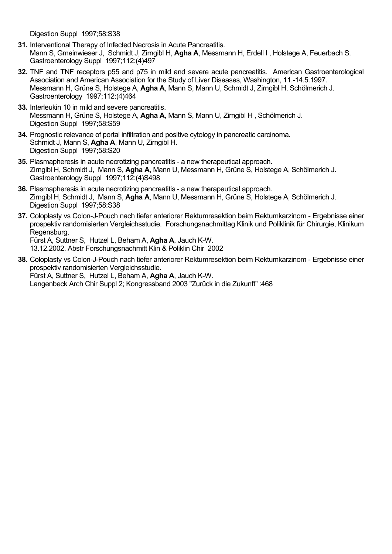Digestion Suppl 1997;58:S38

- **31.** Interventional Therapy of Infected Necrosis in Acute Pancreatitis. Mann S, Gmeinwieser J, Schmidt J, Zirngibl H, **Agha A**, Messmann H, Erdell I , Holstege A, Feuerbach S. Gastroenterology Suppl 1997;112:(4)497
- **32.** TNF and TNF receptors p55 and p75 in mild and severe acute pancreatitis. American Gastroenterological Association and American Association for the Study of Liver Diseases, Washington, 11.-14.5.1997. Messmann H, Grüne S, Holstege A, **Agha A**, Mann S, Mann U, Schmidt J, Zirngibl H, Schölmerich J. Gastroenterology 1997;112:(4)464
- **33.** Interleukin 10 in mild and severe pancreatitis. Messmann H, Grüne S, Holstege A, **Agha A**, Mann S, Mann U, Zirngibl H , Schölmerich J. Digestion Suppl 1997:58:S59
- **34.** Prognostic relevance of portal infiltration and positive cytology in pancreatic carcinoma. Schmidt J, Mann S, **Agha A**, Mann U, Zirngibl H. Digestion Suppl 1997;58:S20
- **35.** Plasmapheresis in acute necrotizing pancreatitis a new therapeutical approach. Zirngibl H, Schmidt J, Mann S, **Agha A**, Mann U, Messmann H, Grüne S, Holstege A, Schölmerich J. Gastroenterology Suppl 1997;112:(4)S498
- **36.** Plasmapheresis in acute necrotizing pancreatitis a new therapeutical approach. Zirngibl H, Schmidt J, Mann S, **Agha A**, Mann U, Messmann H, Grüne S, Holstege A, Schölmerich J. Digestion Suppl 1997;58:S38
- **37.** Coloplasty vs Colon-J-Pouch nach tiefer anteriorer Rektumresektion beim Rektumkarzinom Ergebnisse einer prospektiv randomisierten Vergleichsstudie. Forschungsnachmittag Klinik und Poliklinik für Chirurgie, Klinikum Regensburg,

Fürst A, Suttner S, Hutzel L, Beham A, **Agha A**, Jauch K-W. 13.12.2002. Abstr Forschungsnachmitt Klin & Poliklin Chir 2002

**38.** Coloplasty vs Colon-J-Pouch nach tiefer anteriorer Rektumresektion beim Rektumkarzinom - Ergebnisse einer prospektiv randomisierten Vergleichsstudie. Fürst A, Suttner S, Hutzel L, Beham A, **Agha A**, Jauch K-W. Langenbeck Arch Chir Suppl 2; Kongressband 2003 "Zurück in die Zukunft" :468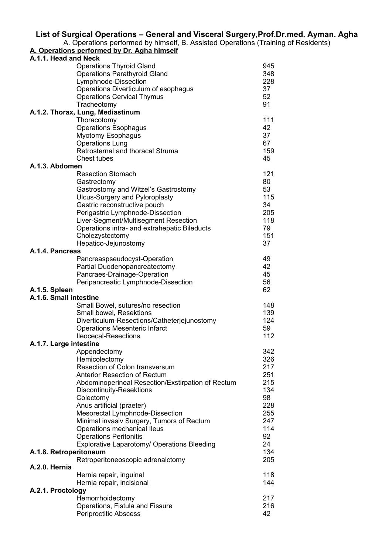#### **List of Surgical Operations – General and Visceral Surgery,Prof.Dr.med. Ayman. Agha**

A. Operations performed by himself, B. Assisted Operations (Training of Residents)

#### **A. Operations performed by Dr. Agha himself**

|                        | A.1.1. Head and Neck                                         |           |  |  |
|------------------------|--------------------------------------------------------------|-----------|--|--|
|                        | <b>Operations Thyroid Gland</b>                              | 945       |  |  |
|                        | <b>Operations Parathyroid Gland</b>                          | 348       |  |  |
|                        | Lymphnode-Dissection                                         | 228       |  |  |
|                        | Operations Diverticulum of esophagus                         | 37        |  |  |
|                        | <b>Operations Cervical Thymus</b>                            | 52        |  |  |
|                        | Tracheotomy                                                  | 91        |  |  |
|                        | A.1.2. Thorax, Lung, Mediastinum                             |           |  |  |
|                        | Thoracotomy                                                  | 111       |  |  |
|                        | <b>Operations Esophagus</b>                                  | 42        |  |  |
|                        | <b>Myotomy Esophagus</b>                                     | 37        |  |  |
|                        | <b>Operations Lung</b>                                       | 67        |  |  |
|                        | Retrosternal and thoracal Struma                             | 159       |  |  |
|                        | Chest tubes                                                  | 45        |  |  |
| A.1.3. Abdomen         |                                                              |           |  |  |
|                        | <b>Resection Stomach</b>                                     | 121       |  |  |
|                        | Gastrectomy                                                  | 80        |  |  |
|                        | Gastrostomy and Witzel's Gastrostomy                         | 53        |  |  |
|                        | <b>Ulcus-Surgery and Pyloroplasty</b>                        | 115       |  |  |
|                        | Gastric reconstructive pouch                                 | 34        |  |  |
|                        | Perigastric Lymphnode-Dissection                             | 205       |  |  |
|                        | Liver-Segment/Multisegment Resection                         | 118       |  |  |
|                        | Operations intra- and extrahepatic Bileducts                 | 79        |  |  |
|                        | Cholezystectomy                                              | 151       |  |  |
|                        | Hepatico-Jejunostomy                                         | 37        |  |  |
| A.1.4. Pancreas        |                                                              |           |  |  |
|                        | Pancreaspseudocyst-Operation                                 | 49        |  |  |
|                        | Partial Duodenopancreatectomy                                | 42        |  |  |
|                        | Pancraes-Drainage-Operation                                  | 45        |  |  |
|                        | Peripancreatic Lymphnode-Dissection                          | 56        |  |  |
| A.1.5. Spleen          |                                                              | 62        |  |  |
| A.1.6. Small intestine |                                                              |           |  |  |
|                        | Small Bowel, sutures/no resection                            | 148       |  |  |
|                        | Small bowel, Resektions                                      | 139       |  |  |
|                        | Diverticulum-Resections/Catheterjejunostomy                  | 124       |  |  |
|                        | <b>Operations Mesenteric Infarct</b>                         | 59        |  |  |
|                        | <b>Ileocecal-Resections</b>                                  |           |  |  |
| A.1.7. Large intestine |                                                              |           |  |  |
|                        |                                                              | 112       |  |  |
|                        |                                                              | 342       |  |  |
|                        | Appendectomy                                                 | 326       |  |  |
|                        | Hemicolectomy<br>Resection of Colon transversum              | 217       |  |  |
|                        | <b>Anterior Resection of Rectum</b>                          | 251       |  |  |
|                        |                                                              | 215       |  |  |
|                        | Abdominoperineal Resection/Exstirpation of Rectum            | 134       |  |  |
|                        | <b>Discontinuity-Resektions</b>                              | 98        |  |  |
|                        | Colectomy                                                    | 228       |  |  |
|                        | Anus artificial (praeter)                                    | 255       |  |  |
|                        | Mesorectal Lymphnode-Dissection                              | 247       |  |  |
|                        | Minimal invasiv Surgery, Tumors of Rectum                    | 114       |  |  |
|                        | Operations mechanical lleus<br><b>Operations Peritonitis</b> | 92        |  |  |
|                        |                                                              | 24        |  |  |
|                        | <b>Explorative Laparotomy/ Operations Bleeding</b>           | 134       |  |  |
| A.1.8. Retroperitoneum | Retroperitoneoscopic adrenalctomy                            | 205       |  |  |
| A.2.0. Hernia          |                                                              |           |  |  |
|                        | Hernia repair, inguinal                                      | 118       |  |  |
|                        | Hernia repair, incisional                                    | 144       |  |  |
| A.2.1. Proctology      |                                                              |           |  |  |
|                        | Hemorrhoidectomy                                             | 217       |  |  |
|                        | Operations, Fistula and Fissure                              | 216<br>42 |  |  |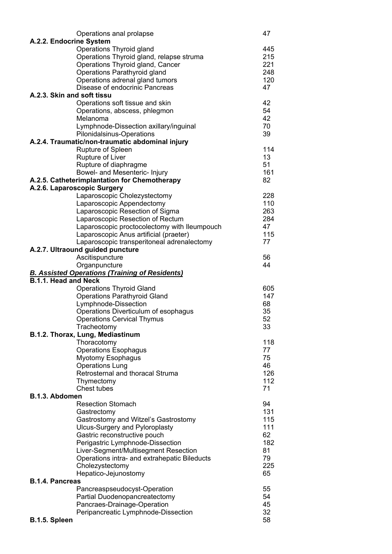| Operations anal prolapse                                                     | 47         |  |  |
|------------------------------------------------------------------------------|------------|--|--|
| A.2.2. Endocrine System                                                      |            |  |  |
| Operations Thyroid gland                                                     | 445        |  |  |
| Operations Thyroid gland, relapse struma<br>Operations Thyroid gland, Cancer | 215<br>221 |  |  |
| Operations Parathyroid gland                                                 | 248        |  |  |
| Operations adrenal gland tumors                                              | 120        |  |  |
| Disease of endocrinic Pancreas                                               | 47         |  |  |
| A.2.3. Skin and soft tissu                                                   |            |  |  |
| Operations soft tissue and skin                                              | 42         |  |  |
| Operations, abscess, phlegmon                                                | 54         |  |  |
| Melanoma                                                                     | 42         |  |  |
| Lymphnode-Dissection axillary/inguinal<br>Pilonidalsinus-Operations          | 70<br>39   |  |  |
| A.2.4. Traumatic/non-traumatic abdominal injury                              |            |  |  |
| Rupture of Spleen                                                            | 114        |  |  |
| Rupture of Liver                                                             | 13         |  |  |
| Rupture of diaphragme                                                        | 51         |  |  |
| Bowel- and Mesenteric- Injury                                                | 161        |  |  |
| A.2.5. Catheterimplantation for Chemotherapy                                 | 82         |  |  |
| A.2.6. Laparoscopic Surgery<br>Laparoscopic Cholezystectomy                  | 228        |  |  |
| Laparoscopic Appendectomy                                                    | 110        |  |  |
| Laparoscopic Resection of Sigma                                              | 263        |  |  |
| Laparoscopic Resection of Rectum                                             | 284        |  |  |
| Laparoscopic proctocolectomy with Ileumpouch                                 | 47         |  |  |
| Laparoscopic Anus artificial (praeter)                                       | 115        |  |  |
| Laparoscopic transperitoneal adrenalectomy                                   | 77         |  |  |
| A.2.7. Ultraound guided puncture                                             |            |  |  |
| Ascitispuncture                                                              | 56<br>44   |  |  |
| Organpuncture<br><b>B. Assisted Operations (Training of Residents)</b>       |            |  |  |
| <b>B.1.1. Head and Neck</b>                                                  |            |  |  |
| <b>Operations Thyroid Gland</b>                                              | 605        |  |  |
| <b>Operations Parathyroid Gland</b>                                          | 147        |  |  |
| Lymphnode-Dissection                                                         | 68         |  |  |
| Operations Diverticulum of esophagus                                         | 35         |  |  |
| <b>Operations Cervical Thymus</b>                                            | 52         |  |  |
| Tracheotomy<br>B.1.2. Thorax, Lung, Mediastinum                              | 33         |  |  |
| Thoracotomy                                                                  | 118        |  |  |
| <b>Operations Esophagus</b>                                                  | 77         |  |  |
| <b>Myotomy Esophagus</b>                                                     | 75         |  |  |
| <b>Operations Lung</b>                                                       | 46         |  |  |
| Retrosternal and thoracal Struma                                             | 126        |  |  |
| Thymectomy                                                                   | 112        |  |  |
| Chest tubes                                                                  | 71         |  |  |
| B.1.3. Abdomen<br><b>Resection Stomach</b>                                   | 94         |  |  |
| Gastrectomy                                                                  | 131        |  |  |
| Gastrostomy and Witzel's Gastrostomy                                         | 115        |  |  |
| <b>Ulcus-Surgery and Pyloroplasty</b>                                        | 111        |  |  |
| Gastric reconstructive pouch                                                 | 62         |  |  |
| Perigastric Lymphnode-Dissection                                             | 182        |  |  |
| Liver-Segment/Multisegment Resection                                         | 81         |  |  |
| Operations intra- and extrahepatic Bileducts                                 | 79<br>225  |  |  |
| Cholezystectomy<br>Hepatico-Jejunostomy                                      | 65         |  |  |
| <b>B.1.4. Pancreas</b>                                                       |            |  |  |
| Pancreaspseudocyst-Operation                                                 | 55         |  |  |
| Partial Duodenopancreatectomy                                                | 54         |  |  |
| Pancraes-Drainage-Operation                                                  | 45         |  |  |
| Peripancreatic Lymphnode-Dissection                                          | 32         |  |  |
| B.1.5. Spleen                                                                | 58         |  |  |